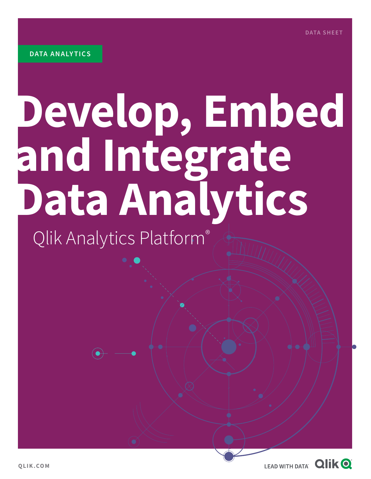# **Develop, Embed and Integrate Data Analytics**

# Qlik Analytics Platform®

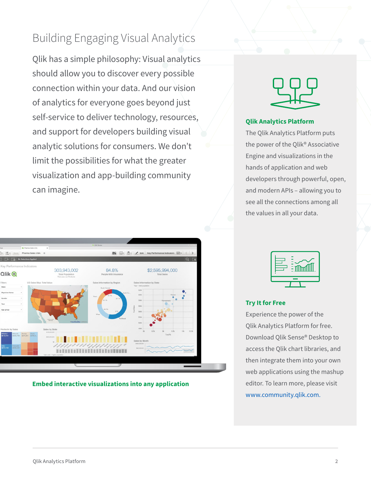# Building Engaging Visual Analytics

Qlik has a simple philosophy: Visual analytics should allow you to discover every possible connection within your data. And our vision of analytics for everyone goes beyond just self-service to deliver technology, resources, and support for developers building visual analytic solutions for consumers. We don't limit the possibilities for what the greater visualization and app-building community can imagine.



**Embed interactive visualizations into any application**



# **Qlik Analytics Platform**

The Qlik Analytics Platform puts the power of the Qlik® Associative Engine and visualizations in the hands of application and web developers through powerful, open, and modern APIs – allowing you to see all the connections among all the values in all your data.



# **Try It for Free**

Experience the power of the Qlik Analytics Platform for free. Download Qlik Sense® Desktop to access the Qlik chart libraries, and then integrate them into your own web applications using the mashup editor. To learn more, please visit [www.community.qlik.com.](www.community.qlik.com)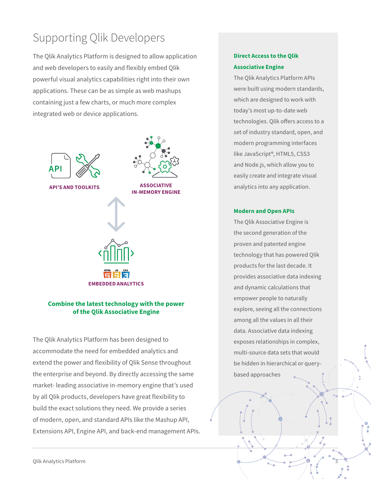# Supporting Qlik Developers

The Qlik Analytics Platform is designed to allow application and web developers to easily and flexibly embed Qlik powerful visual analytics capabilities right into their own applications. These can be as simple as web mashups containing just a few charts, or much more complex integrated web or device applications.



# **Combine the latest technology with the power of the Qlik Associative Engine**

The Qlik Analytics Platform has been designed to accommodate the need for embedded analytics and extend the power and flexibility of Qlik Sense throughout the enterprise and beyond. By directly accessing the same market- leading associative in-memory engine that's used by all Qlik products, developers have great flexibility to build the exact solutions they need. We provide a series of modern, open, and standard APIs like the Mashup API, Extensions API, Engine API, and back-end management APIs.

# **Direct Access to the Qlik Associative Engine**

The Qlik Analytics Platform APIs were built using modern standards, which are designed to work with today's most up-to-date web technologies. Qlik offers access to a set of industry standard, open, and modern programming interfaces like JavaScript®, HTML5, CSS3 and Node.js, which allow you to easily create and integrate visual analytics into any application.

### **Modern and Open APIs**

The Qlik Associative Engine is the second generation of the proven and patented engine technology that has powered Qlik products for the last decade. It provides associative data indexing and dynamic calculations that empower people to naturally explore, seeing all the connections among all the values in all their data. Associative data indexing exposes relationships in complex, multi-source data sets that would be hidden in hierarchical or querybased approaches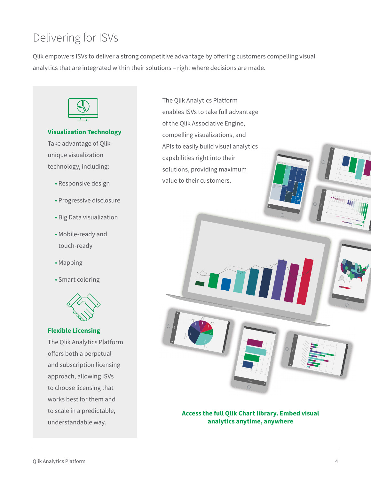# Delivering for ISVs

Qlik empowers ISVs to deliver a strong competitive advantage by offering customers compelling visual analytics that are integrated within their solutions – right where decisions are made.



# **Visualization Technology**

Take advantage of Qlik unique visualization technology, including:

- Responsive design
- Progressive disclosure
- Big Data visualization
- Mobile-ready and touch-ready
- Mapping
- Smart coloring



# **Flexible Licensing**

The Qlik Analytics Platform offers both a perpetual and subscription licensing approach, allowing ISVs to choose licensing that works best for them and to scale in a predictable, understandable way.

The Qlik Analytics Platform enables ISVs to take full advantage of the Qlik Associative Engine, compelling visualizations, and APIs to easily build visual analytics capabilities right into their solutions, providing maximum value to their customers.

Over a

25.66%

days 26.86%

# **Access the full Qlik Chart library. Embed visual analytics anytime, anywhere**

Churn

Churn

Construction

Retail & Services Consulting, Audit & Tax

Hardware

Sandra Gossard Michael Weston Maria Heart

Churn

Churn

Churn

6.13M 12.26M